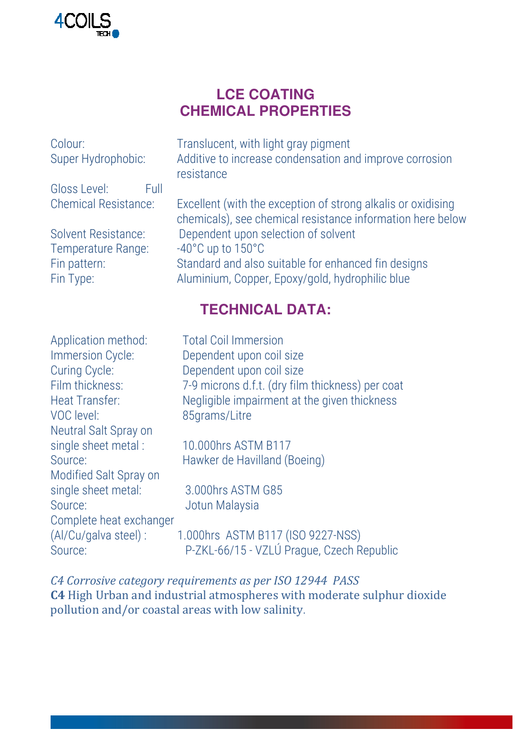

## **LCE COATING CHEMICAL PROPERTIES**

| Colour:<br>Super Hydrophobic: | Translucent, with light gray pigment<br>Additive to increase condensation and improve corrosion<br>resistance              |  |  |
|-------------------------------|----------------------------------------------------------------------------------------------------------------------------|--|--|
| Gloss Level:<br>Full          |                                                                                                                            |  |  |
| <b>Chemical Resistance:</b>   | Excellent (with the exception of strong alkalis or oxidising<br>chemicals), see chemical resistance information here below |  |  |
| Solvent Resistance:           | Dependent upon selection of solvent                                                                                        |  |  |
| Temperature Range:            | $-40^{\circ}$ C up to $150^{\circ}$ C                                                                                      |  |  |
| Fin pattern:<br>Fin Type:     | Standard and also suitable for enhanced fin designs<br>Aluminium, Copper, Epoxy/gold, hydrophilic blue                     |  |  |

# **TECHNICAL DATA:**

| <b>Total Coil Immersion</b>                      |
|--------------------------------------------------|
| Dependent upon coil size                         |
| Dependent upon coil size                         |
| 7-9 microns d.f.t. (dry film thickness) per coat |
| Negligible impairment at the given thickness     |
| 85qrams/Litre                                    |
|                                                  |
| 10.000hrs ASTM B117                              |
| Hawker de Havilland (Boeing)                     |
|                                                  |
| 3.000hrs ASTM G85                                |
| Jotun Malaysia                                   |
|                                                  |
| 1.000hrs ASTM B117 (ISO 9227-NSS)                |
| P-ZKL-66/15 - VZLÚ Prague, Czech Republic        |
|                                                  |

*C4 Corrosive category requirements as per ISO 12944 PASS* **C4** High Urban and industrial atmospheres with moderate sulphur dioxide pollution and/or coastal areas with low salinity.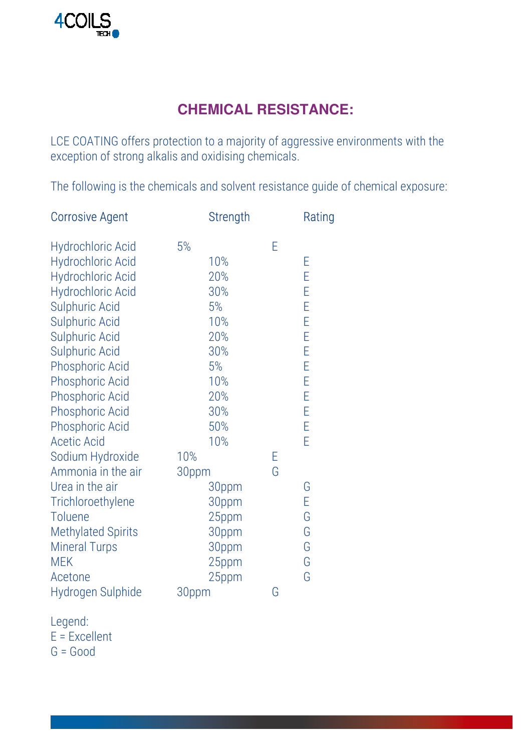# **CHEMICAL RESISTANCE:**

LCE COATING offers protection to a majority of aggressive environments with the exception of strong alkalis and oxidising chemicals.

The following is the chemicals and solvent resistance guide of chemical exposure:

| <b>Corrosive Agent</b>                                                                                                                                                                                                                                                                                                                      |              | <b>Strength</b>                                                                |        | Rating                                                   |
|---------------------------------------------------------------------------------------------------------------------------------------------------------------------------------------------------------------------------------------------------------------------------------------------------------------------------------------------|--------------|--------------------------------------------------------------------------------|--------|----------------------------------------------------------|
| <b>Hydrochloric Acid</b><br><b>Hydrochloric Acid</b><br><b>Hydrochloric Acid</b><br><b>Hydrochloric Acid</b><br><b>Sulphuric Acid</b><br>Sulphuric Acid<br><b>Sulphuric Acid</b><br><b>Sulphuric Acid</b><br><b>Phosphoric Acid</b><br><b>Phosphoric Acid</b><br><b>Phosphoric Acid</b><br><b>Phosphoric Acid</b><br><b>Phosphoric Acid</b> | 5%           | 10%<br>20%<br>30%<br>5%<br>10%<br>20%<br>30%<br>5%<br>10%<br>20%<br>30%<br>50% | E      | E<br>E<br>E<br>E<br>E<br>E<br>E<br>E<br>E<br>E<br>E<br>E |
| <b>Acetic Acid</b><br>Sodium Hydroxide<br>Ammonia in the air<br>Urea in the air<br>Trichloroethylene<br>Toluene<br><b>Methylated Spirits</b><br><b>Mineral Turps</b>                                                                                                                                                                        | 10%<br>30ppm | 10%<br>30ppm<br>30ppm<br>25ppm<br>30ppm<br>30ppm                               | Е<br>G | E<br>G<br>E<br>G<br>G<br>G                               |
| <b>MEK</b><br>Acetone<br>Hydrogen Sulphide                                                                                                                                                                                                                                                                                                  | 30ppm        | 25ppm<br>25ppm                                                                 | G      | G<br>G                                                   |

Legend:

 $E = Excellent$ 

 $G = Good$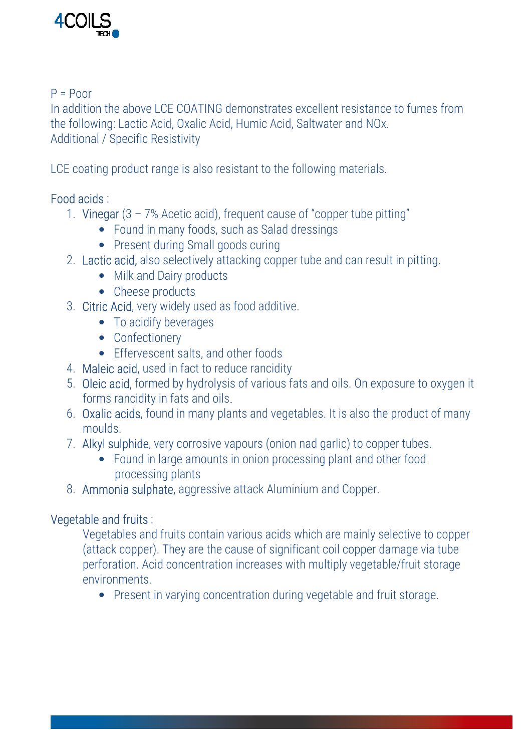

#### $P = P \cap \cap r$

In addition the above LCE COATING demonstrates excellent resistance to fumes from the following: Lactic Acid, Oxalic Acid, Humic Acid, Saltwater and NOx. Additional / Specific Resistivity

LCE coating product range is also resistant to the following materials.

## Food acids :

- 1. Vinegar  $(3 7)$ % Acetic acid), frequent cause of "copper tube pitting"
	- Found in many foods, such as Salad dressings
	- Present during Small goods curing
- 2. Lactic acid, also selectively attacking copper tube and can result in pitting.
	- Milk and Dairy products
	- Cheese products
- 3. Citric Acid, very widely used as food additive.
	- To acidify beverages
	- Confectionery
	- Effervescent salts, and other foods
- 4. Maleic acid, used in fact to reduce rancidity
- 5. Oleic acid, formed by hydrolysis of various fats and oils. On exposure to oxygen it forms rancidity in fats and oils.
- 6. Oxalic acids, found in many plants and vegetables. It is also the product of many moulds.
- 7. Alkyl sulphide, very corrosive vapours (onion nad garlic) to copper tubes.
	- Found in large amounts in onion processing plant and other food processing plants
- 8. Ammonia sulphate, aggressive attack Aluminium and Copper.

## Vegetable and fruits :

Vegetables and fruits contain various acids which are mainly selective to copper (attack copper). They are the cause of significant coil copper damage via tube perforation. Acid concentration increases with multiply vegetable/fruit storage environments.

• Present in varying concentration during vegetable and fruit storage.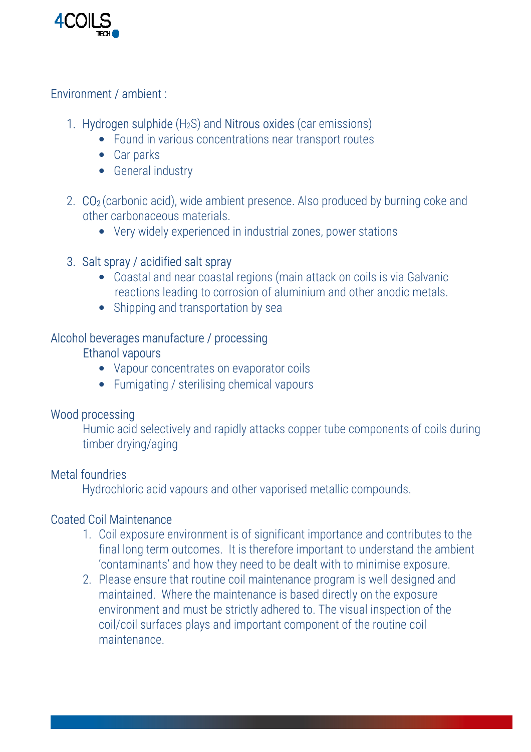

### Environment / ambient :

#### 1. Hydrogen sulphide  $(H_2S)$  and Nitrous oxides (car emissions)

- Found in various concentrations near transport routes
- Car parks
- General industry
- 2. CO<sub>2</sub> (carbonic acid), wide ambient presence. Also produced by burning coke and other carbonaceous materials.
	- Very widely experienced in industrial zones, power stations

#### 3. Salt spray / acidified salt spray

- Coastal and near coastal regions (main attack on coils is via Galvanic reactions leading to corrosion of aluminium and other anodic metals.
- Shipping and transportation by sea

### Alcohol beverages manufacture / processing

#### Ethanol vapours

- Vapour concentrates on evaporator coils
- Fumigating / sterilising chemical vapours

#### Wood processing

Humic acid selectively and rapidly attacks copper tube components of coils during timber drying/aging

#### Metal foundries

Hydrochloric acid vapours and other vaporised metallic compounds.

#### Coated Coil Maintenance

- 1. Coil exposure environment is of significant importance and contributes to the final long term outcomes. It is therefore important to understand the ambient 'contaminants' and how they need to be dealt with to minimise exposure.
- 2. Please ensure that routine coil maintenance program is well designed and maintained. Where the maintenance is based directly on the exposure environment and must be strictly adhered to. The visual inspection of the coil/coil surfaces plays and important component of the routine coil maintenance.